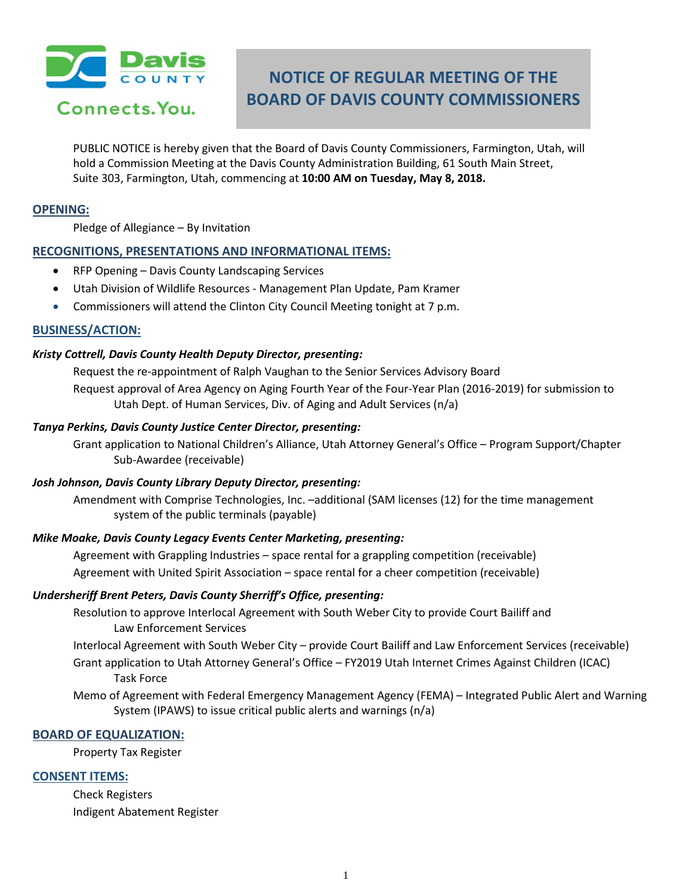

# Connects. You.

## **NOTICE OF REGULAR MEETING OF THE BOARD OF DAVIS COUNTY COMMISSIONERS**

PUBLIC NOTICE is hereby given that the Board of Davis County Commissioners, Farmington, Utah, will hold a Commission Meeting at the Davis County Administration Building, 61 South Main Street, Suite 303, Farmington, Utah, commencing at **10:00 AM on Tuesday, May 8, 2018.**

## **OPENING:**

Pledge of Allegiance – By Invitation

## **RECOGNITIONS, PRESENTATIONS AND INFORMATIONAL ITEMS:**

- RFP Opening Davis County Landscaping Services
- Utah Division of Wildlife Resources Management Plan Update, Pam Kramer
- Commissioners will attend the Clinton City Council Meeting tonight at 7 p.m.

## **BUSINESS/ACTION:**

#### *Kristy Cottrell, Davis County Health Deputy Director, presenting:*

Request the re-appointment of Ralph Vaughan to the Senior Services Advisory Board

Request approval of Area Agency on Aging Fourth Year of the Four-Year Plan (2016-2019) for submission to Utah Dept. of Human Services, Div. of Aging and Adult Services (n/a)

#### *Tanya Perkins, Davis County Justice Center Director, presenting:*

Grant application to National Children's Alliance, Utah Attorney General's Office – Program Support/Chapter Sub-Awardee (receivable)

#### *Josh Johnson, Davis County Library Deputy Director, presenting:*

Amendment with Comprise Technologies, Inc. –additional (SAM licenses (12) for the time management system of the public terminals (payable)

## *Mike Moake, Davis County Legacy Events Center Marketing, presenting:*

Agreement with Grappling Industries – space rental for a grappling competition (receivable) Agreement with United Spirit Association – space rental for a cheer competition (receivable)

#### *Undersheriff Brent Peters, Davis County Sherriff's Office, presenting:*

- Resolution to approve Interlocal Agreement with South Weber City to provide Court Bailiff and Law Enforcement Services
- Interlocal Agreement with South Weber City provide Court Bailiff and Law Enforcement Services (receivable)
- Grant application to Utah Attorney General's Office FY2019 Utah Internet Crimes Against Children (ICAC) Task Force
- Memo of Agreement with Federal Emergency Management Agency (FEMA) Integrated Public Alert and Warning System (IPAWS) to issue critical public alerts and warnings (n/a)

#### **BOARD OF EQUALIZATION:**

Property Tax Register

## **CONSENT ITEMS:**

Check Registers Indigent Abatement Register